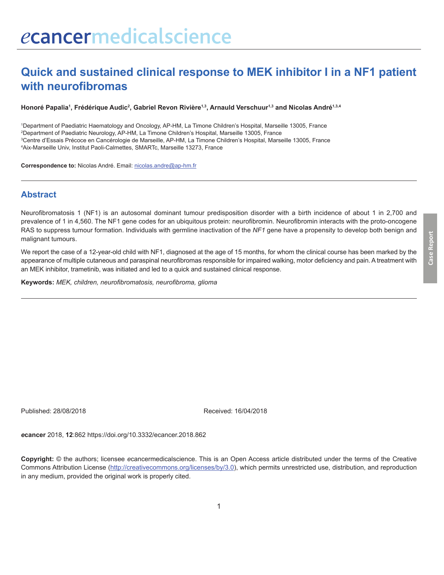# **Quick and sustained clinical response to MEK inhibitor I in a NF1 patient with neurofibromas**

**Honoré Papalia1 , Frédérique Audic2 , Gabriel Revon Rivière1,3, Arnauld Verschuur1,3 and Nicolas André1,3,4**

 Department of Paediatric Haematology and Oncology, AP-HM, La Timone Children's Hospital, Marseille 13005, France Department of Paediatric Neurology, AP-HM, La Timone Children's Hospital, Marseille 13005, France Centre d'Essais Précoce en Cancérologie de Marseille, AP-HM, La Timone Children's Hospital, Marseille 13005, France Aix-Marseille Univ, Institut Paoli-Calmettes, SMARTc, Marseille 13273, France

**Correspondence to:** Nicolas André. Email: nicolas.andre@ap-hm.fr

#### **Abstract**

Neurofibromatosis 1 (NF1) is an autosomal dominant tumour predisposition disorder with a birth incidence of about 1 in 2,700 and prevalence of 1 in 4,560. The NF1 gene codes for an ubiquitous protein: neurofibromin. Neurofibromin interacts with the proto-oncogene RAS to suppress tumour formation. Individuals with germline inactivation of the *NF1* gene have a propensity to develop both benign and malignant tumours.

We report the case of a 12-year-old child with NF1, diagnosed at the age of 15 months, for whom the clinical course has been marked by the appearance of multiple cutaneous and paraspinal neurofibromas responsible for impaired walking, motor deficiency and pain. A treatment with an MEK inhibitor, trametinib, was initiated and led to a quick and sustained clinical response.

**Keywords:** *MEK, children, neurofibromatosis, neurofibroma, glioma*

Published: 28/08/2018 Received: 16/04/2018

*e***cancer** 2018, **12**:862 https://doi.org/10.3332/ecancer.2018.862

**Copyright:** © the authors; licensee *e*cancermedicalscience. This is an Open Access article distributed under the terms of the Creative Commons Attribution License (http://creativecommons.org/licenses/by/3.0), which permits unrestricted use, distribution, and reproduction in any medium, provided the original work is properly cited.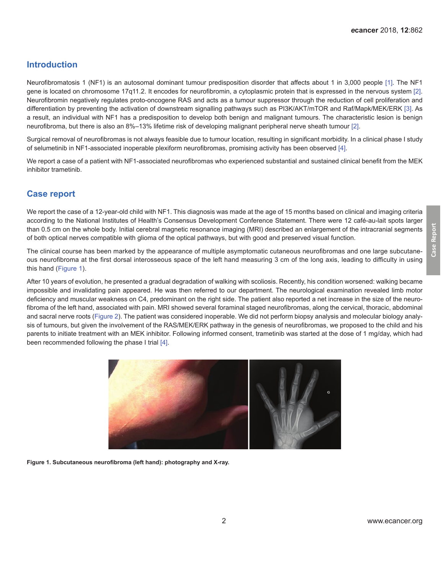## **Introduction**

Neurofibromatosis 1 (NF1) is an autosomal dominant tumour predisposition disorder that affects about 1 in 3,000 people [\[1\]](#page-3-0). The NF1 gene is located on chromosome 17q11.2. It encodes for neurofibromin, a cytoplasmic protein that is expressed in the nervous system [\[2\]](#page-3-0). Neurofibromin negatively regulates proto-oncogene RAS and acts as a tumour suppressor through the reduction of cell proliferation and differentiation by preventing the activation of downstream signalling pathways such as PI3K/AKT/mTOR and Raf/Mapk/MEK/ERK [\[3\].](#page-3-0) As a result, an individual with NF1 has a predisposition to develop both benign and malignant tumours. The characteristic lesion is benign neurofibroma, but there is also an 8%–13% lifetime risk of developing malignant peripheral nerve sheath tumour [\[2\].](#page-3-0)

Surgical removal of neurofibromas is not always feasible due to tumour location, resulting in significant morbidity. In a clinical phase I study of selumetinib in NF1-associated inoperable plexiform neurofibromas, promising activity has been observed [\[4\].](#page-3-0)

We report a case of a patient with NF1-associated neurofibromas who experienced substantial and sustained clinical benefit from the MEK inhibitor trametinib.

## **Case report**

We report the case of a 12-year-old child with NF1. This diagnosis was made at the age of 15 months based on clinical and imaging criteria according to the National Institutes of Health's Consensus Development Conference Statement. There were 12 café-au-lait spots larger than 0.5 cm on the whole body. Initial cerebral magnetic resonance imaging (MRI) described an enlargement of the intracranial segments of both optical nerves compatible with glioma of the optical pathways, but with good and preserved visual function.

The clinical course has been marked by the appearance of multiple asymptomatic cutaneous neurofibromas and one large subcutaneous neurofibroma at the first dorsal interosseous space of the left hand measuring 3 cm of the long axis, leading to difficulty in using this hand (Figure 1).

After 10 years of evolution, he presented a gradual degradation of walking with scoliosis. Recently, his condition worsened: walking became impossible and invalidating pain appeared. He was then referred to our department. The neurological examination revealed limb motor deficiency and muscular weakness on C4, predominant on the right side. The patient also reported a net increase in the size of the neurofibroma of the left hand, associated with pain. MRI showed several foraminal staged neurofibromas, along the cervical, thoracic, abdominal and sacral nerve roots [\(Figure 2](#page-2-0)). The patient was considered inoperable. We did not perform biopsy analysis and molecular biology analysis of tumours, but given the involvement of the RAS/MEK/ERK pathway in the genesis of neurofibromas, we proposed to the child and his parents to initiate treatment with an MEK inhibitor. Following informed consent, trametinib was started at the dose of 1 mg/day, which had been recommended following the phase I trial [\[4\]](#page-3-0).



**Figure 1. Subcutaneous neurofibroma (left hand): photography and X-ray.**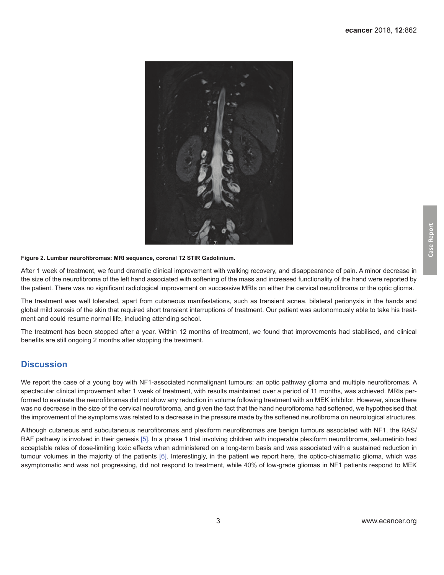<span id="page-2-0"></span>

#### **Figure 2. Lumbar neurofibromas: MRI sequence, coronal T2 STIR Gadolinium.**

After 1 week of treatment, we found dramatic clinical improvement with walking recovery, and disappearance of pain. A minor decrease in the size of the neurofibroma of the left hand associated with softening of the mass and increased functionality of the hand were reported by the patient. There was no significant radiological improvement on successive MRIs on either the cervical neurofibroma or the optic glioma.

The treatment was well tolerated, apart from cutaneous manifestations, such as transient acnea, bilateral perionyxis in the hands and global mild xerosis of the skin that required short transient interruptions of treatment. Our patient was autonomously able to take his treatment and could resume normal life, including attending school.

The treatment has been stopped after a year. Within 12 months of treatment, we found that improvements had stabilised, and clinical benefits are still ongoing 2 months after stopping the treatment.

#### **Discussion**

We report the case of a young boy with NF1-associated nonmalignant tumours: an optic pathway glioma and multiple neurofibromas. A spectacular clinical improvement after 1 week of treatment, with results maintained over a period of 11 months, was achieved. MRIs performed to evaluate the neurofibromas did not show any reduction in volume following treatment with an MEK inhibitor. However, since there was no decrease in the size of the cervical neurofibroma, and given the fact that the hand neurofibroma had softened, we hypothesised that the improvement of the symptoms was related to a decrease in the pressure made by the softened neurofibroma on neurological structures.

Although cutaneous and subcutaneous neurofibromas and plexiform neurofibromas are benign tumours associated with NF1, the RAS/ RAF pathway is involved in their genesis [\[5\]](#page-3-0). In a phase 1 trial involving children with inoperable plexiform neurofibroma, selumetinib had acceptable rates of dose-limiting toxic effects when administered on a long-term basis and was associated with a sustained reduction in tumour volumes in the majority of the patients [\[6\].](#page-4-0) Interestingly, in the patient we report here, the optico-chiasmatic glioma, which was asymptomatic and was not progressing, did not respond to treatment, while 40% of low-grade gliomas in NF1 patients respond to MEK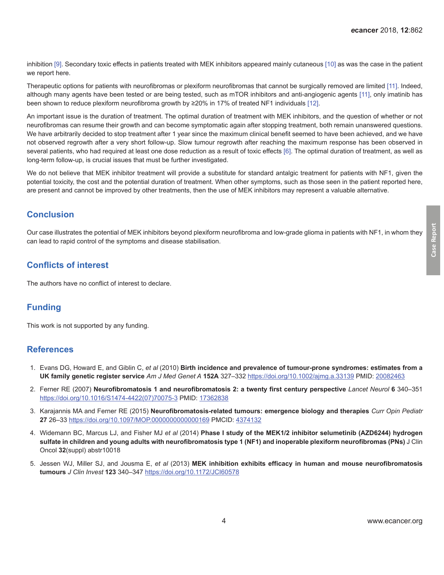<span id="page-3-0"></span>inhibition [\[9\].](#page-4-0) Secondary toxic effects in patients treated with MEK inhibitors appeared mainly cutaneous [\[10\]](#page-4-0) as was the case in the patient we report here.

Therapeutic options for patients with neurofibromas or plexiform neurofibromas that cannot be surgically removed are limited [\[11\]](#page-4-0). Indeed, although many agents have been tested or are being tested, such as mTOR inhibitors and anti-angiogenic agents [\[11\]](#page-4-0), only imatinib has been shown to reduce plexiform neurofibroma growth by ≥20% in 17% of treated NF1 individuals [\[12\]](#page-4-0).

An important issue is the duration of treatment. The optimal duration of treatment with MEK inhibitors, and the question of whether or not neurofibromas can resume their growth and can become symptomatic again after stopping treatment, both remain unanswered questions. We have arbitrarily decided to stop treatment after 1 year since the maximum clinical benefit seemed to have been achieved, and we have not observed regrowth after a very short follow-up. Slow tumour regrowth after reaching the maximum response has been observed in several patients, who had required at least one dose reduction as a result of toxic effects [\[6\]](#page-4-0). The optimal duration of treatment, as well as long-term follow-up, is crucial issues that must be further investigated.

We do not believe that MEK inhibitor treatment will provide a substitute for standard antalgic treatment for patients with NF1, given the potential toxicity, the cost and the potential duration of treatment. When other symptoms, such as those seen in the patient reported here, are present and cannot be improved by other treatments, then the use of MEK inhibitors may represent a valuable alternative.

## **Conclusion**

Our case illustrates the potential of MEK inhibitors beyond plexiform neurofibroma and low-grade glioma in patients with NF1, in whom they can lead to rapid control of the symptoms and disease stabilisation.

## **Conflicts of interest**

The authors have no conflict of interest to declare.

## **Funding**

This work is not supported by any funding.

### **References**

- 1. Evans DG, Howard E, and Giblin C, *et al* (2010) **Birth incidence and prevalence of tumour-prone syndromes: estimates from a UK family genetic register service** *Am J Med Genet A* **152A** 327–332 [https://doi.org/10.1002/ajmg.a.33139](https://doi.org/10.1002/ajmg.a.33139 ) PMID: [20082463](http://www.ncbi.nlm.nih.gov/pubmed/20082463)
- 2. Ferner RE (2007) **Neurofibromatosis 1 and neurofibromatosis 2: a twenty first century perspective** *Lancet Neurol* **6** 340–351 [https://doi.org/10.1016/S1474-4422\(07\)70075-3](https://doi.org/10.1016/S1474-4422(07)70075-3 ) PMID: [17362838](http://www.ncbi.nlm.nih.gov/pubmed/17362838)
- 3. Karajannis MA and Ferner RE (2015) **Neurofibromatosis-related tumours: emergence biology and therapies** *Curr Opin Pediatr* **27** 26–33 [https://doi.org/10.1097/MOP.0000000000000169](https://doi.org/10.1097/MOP.0000000000000169 ) PMCID: [4374132](http://www.ncbi.nlm.nih.gov/pmc/articles/PMC4374132)
- 4. Widemann BC, Marcus LJ, and Fisher MJ *et al* (2014) **Phase I study of the MEK1/2 inhibitor selumetinib (AZD6244) hydrogen sulfate in children and young adults with neurofibromatosis type 1 (NF1) and inoperable plexiform neurofibromas (PNs)** J Clin Oncol **32**(suppl) abstr10018
- 5. Jessen WJ, Miller SJ, and Jousma E, *et al* (2013) **MEK inhibition exhibits efficacy in human and mouse neurofibromatosis tumours** *J Clin Invest* **123** 340–347 [https://doi.org/10.1172/JCI60578](https://doi.org/10.1172/JCI60578 )